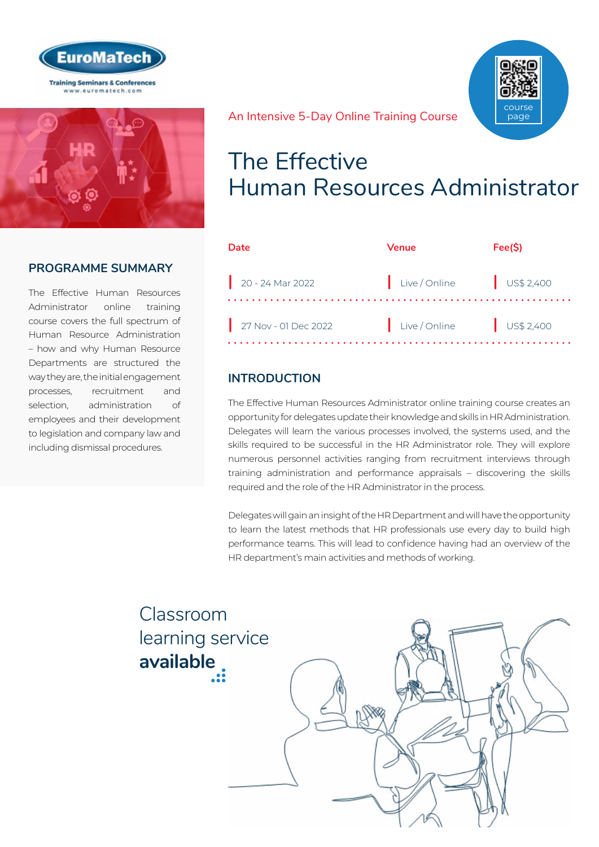



### **PROGRAMME SUMMARY**

The Effective Human Resources Administrator online training course covers the full spectrum of Human Resource Administration – how and why Human Resource Departments are structured the way they are, the initial engagement processes, recruitment and selection, administration of employees and their development to legislation and company law and including dismissal procedures.

course page

#### An Intensive 5-Day Online Training Course

## The Effective Human Resources Administrator

| <b>Date</b>          | <b>Venue</b>           | Fee(S) |
|----------------------|------------------------|--------|
| 20 - 24 Mar 2022     | Live/Online US\$ 2,400 |        |
| 27 Nov - 01 Dec 2022 | Live/Online US\$ 2,400 |        |

### **INTRODUCTION**

The Effective Human Resources Administrator online training course creates an opportunity for delegates update their knowledge and skills in HR Administration. Delegates will learn the various processes involved, the systems used, and the skills required to be successful in the HR Administrator role. They will explore numerous personnel activities ranging from recruitment interviews through training administration and performance appraisals – discovering the skills required and the role of the HR Administrator in the process.

Delegates will gain an insight of the HR Department and will have the opportunity to learn the latest methods that HR professionals use every day to build high performance teams. This will lead to confidence having had an overview of the HR department's main activities and methods of working.

Classroom [learning service](https://www.euromatech.com/seminars/the-effective-human-resources-administrator/)  **available**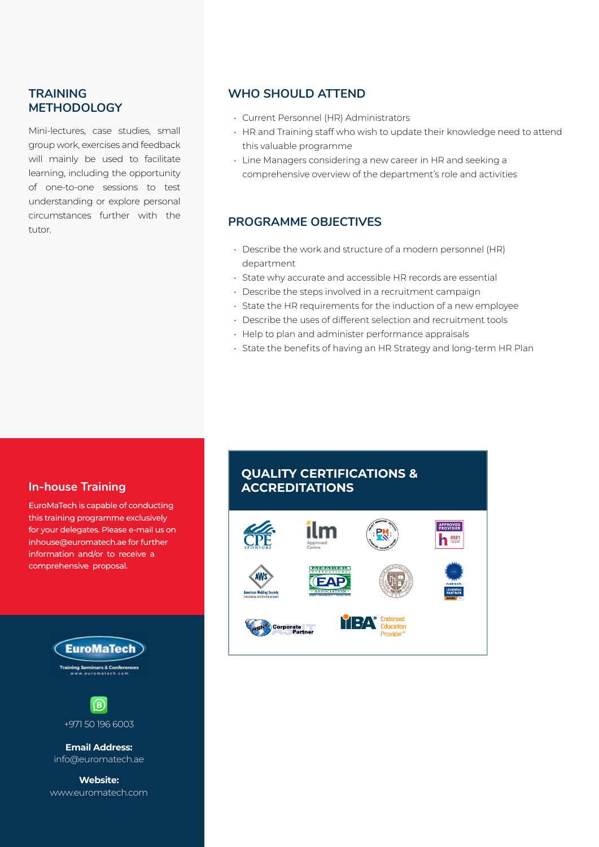### **TRAINING METHODOLOGY**

Mini-lectures, case studies, small group work, exercises and feedback will mainly be used to facilitate learning, including the opportunity of one-to-one sessions to test understanding or explore personal circumstances further with the tutor.

### **WHO SHOULD ATTEND**

- Current Personnel (HR) Administrators
- HR and Training staff who wish to update their knowledge need to attend this valuable programme
- Line Managers considering a new career in HR and seeking a comprehensive overview of the department's role and activities

### **PROGRAMME OBJECTIVES**

- Describe the work and structure of a modern personnel (HR) department
- State why accurate and accessible HR records are essential
- Describe the steps involved in a recruitment campaign
- State the HR requirements for the induction of a new employee
- Describe the uses of different selection and recruitment tools
- Help to plan and administer performance appraisals
- State the benefits of having an HR Strategy and long-term HR Plan

### **In-house Training**

EuroMaTech is capable of conducting this training programme exclusively for your delegates. Please e-mail us on inhouse@euromatech.ae for further information and/or to receive a comprehensive proposal.





+971 50 196 6003

**Email Address:** info@euromatech.ae

**Website:** www.euromatech.com

### **QUALITY CERTIFICATIONS & ACCREDITATIONS**

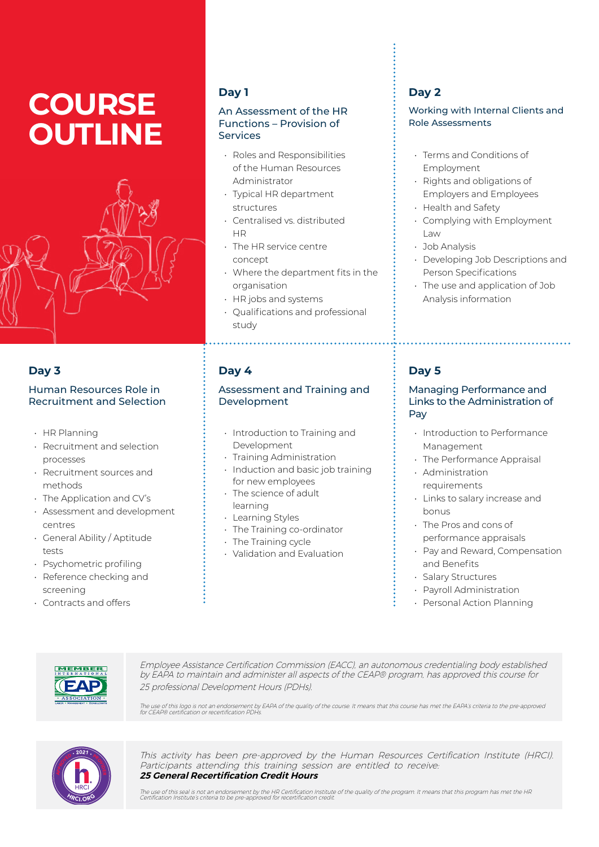# **COURSE OUTLINE**



### **Day 3**

#### Human Resources Role in Recruitment and Selection

- HR Planning
- Recruitment and selection processes
- Recruitment sources and methods
- The Application and CV's
- Assessment and development centres
- General Ability / Aptitude tests
- Psychometric profiling
- Reference checking and screening
- Contracts and offers

### **Day 1**

#### An Assessment of the HR Functions – Provision of **Services**

- Roles and Responsibilities of the Human Resources Administrator
- Typical HR department structures
- Centralised vs. distributed **HD**
- The HR service centre concept
- Where the department fits in the organisation
- HR jobs and systems
- Qualifications and professional study

### **Day 4**

#### Assessment and Training and Development

- Introduction to Training and Development
- Training Administration
- Induction and basic job training for new employees • The science of adult
- learning
- Learning Styles
- The Training co-ordinator
- The Training cycle
- Validation and Evaluation

### **Day 2**

#### Working with Internal Clients and Role Assessments

- Terms and Conditions of Employment
- Rights and obligations of Employers and Employees
- Health and Safety
- Complying with Employment Law
- Job Analysis
- Developing Job Descriptions and Person Specifications
- The use and application of Job Analysis information

### **Day 5**

#### Managing Performance and Links to the Administration of Pay

- Introduction to Performance Management
- The Performance Appraisal
- Administration requirements
- Links to salary increase and bonus
- The Pros and cons of performance appraisals
- Pay and Reward, Compensation and Benefits
- Salary Structures
- Payroll Administration
- Personal Action Planning



Employee Assistance Certification Commission (EACC), an autonomous credentialing body established by EAPA to maintain and administer all aspects of the CEAP® program, has approved this course for 25 professional Development Hours (PDHs).

The use of this logo is not an endorsement by EAPA of the quality of the course. It means that this course has met the EAPA's criteria to the pre-approved<br>for CEAP® certification or recertification PDHs.



This activity has been pre-approved by the Human Resources Certification Institute (HRCI). Participants attending this training session are entitled to receive: **25 General Recertification Credit Hours**

The use of this seal is not an endorsement by the HR Certification Institute of the quality of the program. It means that this program has met the HR<br>Certification Institute's criteria to be pre-approved for recertificatio